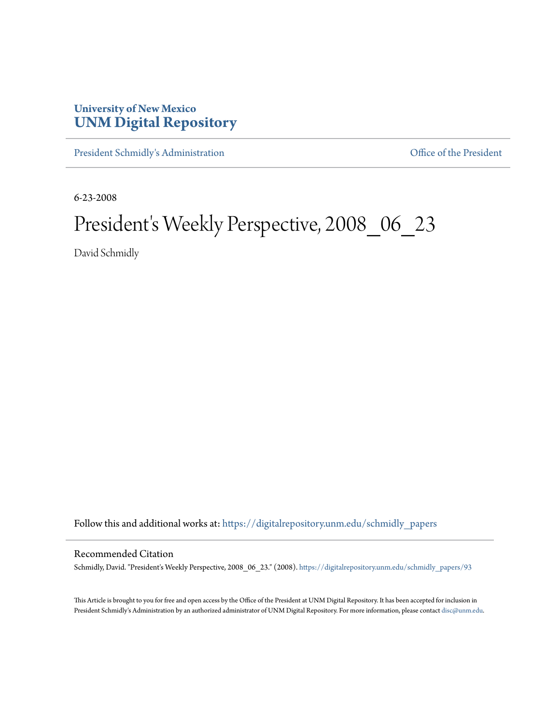## **University of New Mexico [UNM Digital Repository](https://digitalrepository.unm.edu?utm_source=digitalrepository.unm.edu%2Fschmidly_papers%2F93&utm_medium=PDF&utm_campaign=PDFCoverPages)**

[President Schmidly's Administration](https://digitalrepository.unm.edu/schmidly_papers?utm_source=digitalrepository.unm.edu%2Fschmidly_papers%2F93&utm_medium=PDF&utm_campaign=PDFCoverPages) [Office of the President](https://digitalrepository.unm.edu/ofc_president?utm_source=digitalrepository.unm.edu%2Fschmidly_papers%2F93&utm_medium=PDF&utm_campaign=PDFCoverPages)

6-23-2008

## President's Weekly Perspective, 2008\_06\_23

David Schmidly

Follow this and additional works at: [https://digitalrepository.unm.edu/schmidly\\_papers](https://digitalrepository.unm.edu/schmidly_papers?utm_source=digitalrepository.unm.edu%2Fschmidly_papers%2F93&utm_medium=PDF&utm_campaign=PDFCoverPages)

## Recommended Citation

Schmidly, David. "President's Weekly Perspective, 2008\_06\_23." (2008). [https://digitalrepository.unm.edu/schmidly\\_papers/93](https://digitalrepository.unm.edu/schmidly_papers/93?utm_source=digitalrepository.unm.edu%2Fschmidly_papers%2F93&utm_medium=PDF&utm_campaign=PDFCoverPages)

This Article is brought to you for free and open access by the Office of the President at UNM Digital Repository. It has been accepted for inclusion in President Schmidly's Administration by an authorized administrator of UNM Digital Repository. For more information, please contact [disc@unm.edu](mailto:disc@unm.edu).